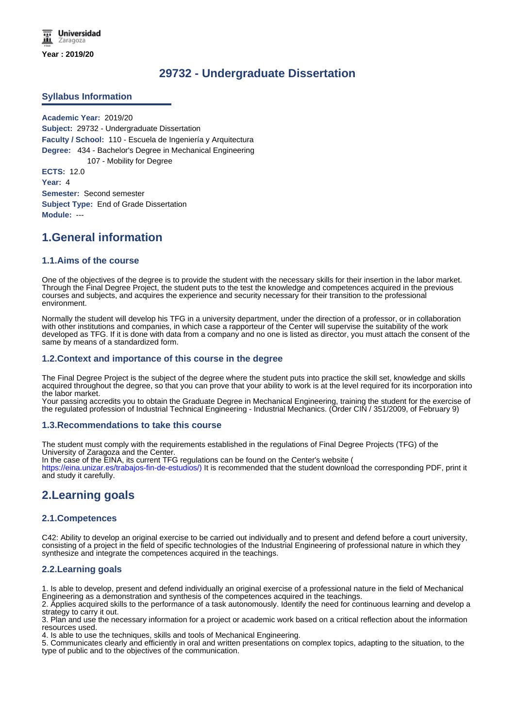# **29732 - Undergraduate Dissertation**

### **Syllabus Information**

**Academic Year:** 2019/20 **Subject:** 29732 - Undergraduate Dissertation **Faculty / School:** 110 - Escuela de Ingeniería y Arquitectura **Degree:** 434 - Bachelor's Degree in Mechanical Engineering 107 - Mobility for Degree **ECTS:** 12.0 **Year:** 4 **Semester:** Second semester **Subject Type:** End of Grade Dissertation **Module:** ---

# **1.General information**

### **1.1.Aims of the course**

One of the objectives of the degree is to provide the student with the necessary skills for their insertion in the labor market. Through the Final Degree Project, the student puts to the test the knowledge and competences acquired in the previous courses and subjects, and acquires the experience and security necessary for their transition to the professional environment.

Normally the student will develop his TFG in a university department, under the direction of a professor, or in collaboration with other institutions and companies, in which case a rapporteur of the Center will supervise the suitability of the work developed as TFG. If it is done with data from a company and no one is listed as director, you must attach the consent of the same by means of a standardized form.

### **1.2.Context and importance of this course in the degree**

The Final Degree Project is the subject of the degree where the student puts into practice the skill set, knowledge and skills acquired throughout the degree, so that you can prove that your ability to work is at the level required for its incorporation into the labor market.

Your passing accredits you to obtain the Graduate Degree in Mechanical Engineering, training the student for the exercise of the regulated profession of Industrial Technical Engineering - Industrial Mechanics. (Order CIN / 351/2009, of February 9)

#### **1.3.Recommendations to take this course**

The student must comply with the requirements established in the regulations of Final Degree Projects (TFG) of the University of Zaragoza and the Center.

In the case of the EINA, its current TFG regulations can be found on the Center's website (

https://eina.unizar.es/trabajos-fin-de-estudios/) It is recommended that the student download the corresponding PDF, print it and study it carefully.

# **2.Learning goals**

### **2.1.Competences**

C42: Ability to develop an original exercise to be carried out individually and to present and defend before a court university, consisting of a project in the field of specific technologies of the Industrial Engineering of professional nature in which they synthesize and integrate the competences acquired in the teachings.

### **2.2.Learning goals**

1. Is able to develop, present and defend individually an original exercise of a professional nature in the field of Mechanical Engineering as a demonstration and synthesis of the competences acquired in the teachings.

2. Applies acquired skills to the performance of a task autonomously. Identify the need for continuous learning and develop a strategy to carry it out.

3. Plan and use the necessary information for a project or academic work based on a critical reflection about the information resources used.

4. Is able to use the techniques, skills and tools of Mechanical Engineering.

5. Communicates clearly and efficiently in oral and written presentations on complex topics, adapting to the situation, to the type of public and to the objectives of the communication.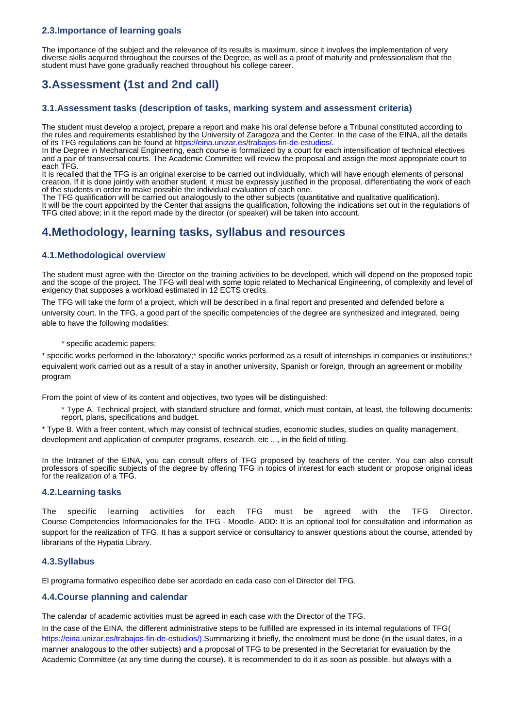## **2.3.Importance of learning goals**

The importance of the subject and the relevance of its results is maximum, since it involves the implementation of very diverse skills acquired throughout the courses of the Degree, as well as a proof of maturity and professionalism that the student must have gone gradually reached throughout his college career.

# **3.Assessment (1st and 2nd call)**

### **3.1.Assessment tasks (description of tasks, marking system and assessment criteria)**

The student must develop a project, prepare a report and make his oral defense before a Tribunal constituted according to the rules and requirements established by the University of Zaragoza and the Center. In the case of the EINA, all the details of its TFG regulations can be found at https://eina.unizar.es/trabajos-fin-de-estudios/.

In the Degree in Mechanical Engineering, each course is formalized by a court for each intensification of technical electives and a pair of transversal courts. The Academic Committee will review the proposal and assign the most appropriate court to each TFG.

It is recalled that the TFG is an original exercise to be carried out individually, which will have enough elements of personal creation. If it is done jointly with another student, it must be expressly justified in the proposal, differentiating the work of each of the students in order to make possible the individual evaluation of each one.

The TFG qualification will be carried out analogously to the other subjects (quantitative and qualitative qualification). It will be the court appointed by the Center that assigns the qualification, following the indications set out in the regulations of TFG cited above; in it the report made by the director (or speaker) will be taken into account.

# **4.Methodology, learning tasks, syllabus and resources**

## **4.1.Methodological overview**

The student must agree with the Director on the training activities to be developed, which will depend on the proposed topic and the scope of the project. The TFG will deal with some topic related to Mechanical Engineering, of complexity and level of exigency that supposes a workload estimated in 12 ECTS credits.

The TFG will take the form of a project, which will be described in a final report and presented and defended before a university court. In the TFG, a good part of the specific competencies of the degree are synthesized and integrated, being able to have the following modalities:

### \* specific academic papers;

\* specific works performed in the laboratory;\* specific works performed as a result of internships in companies or institutions;\* equivalent work carried out as a result of a stay in another university, Spanish or foreign, through an agreement or mobility program

From the point of view of its content and objectives, two types will be distinguished:

\* Type A. Technical project, with standard structure and format, which must contain, at least, the following documents: report, plans, specifications and budget.

\* Type B. With a freer content, which may consist of technical studies, economic studies, studies on quality management, development and application of computer programs, research, etc ..., in the field of titling.

In the Intranet of the EINA, you can consult offers of TFG proposed by teachers of the center. You can also consult professors of specific subjects of the degree by offering TFG in topics of interest for each student or propose original ideas for the realization of a TFG.

### **4.2.Learning tasks**

The specific learning activities for each TFG must be agreed with the TFG Director. Course Competencies Informacionales for the TFG - Moodle- ADD: It is an optional tool for consultation and information as support for the realization of TFG. It has a support service or consultancy to answer questions about the course, attended by librarians of the Hypatia Library.

## **4.3.Syllabus**

El programa formativo específico debe ser acordado en cada caso con el Director del TFG.

## **4.4.Course planning and calendar**

The calendar of academic activities must be agreed in each case with the Director of the TFG.

In the case of the EINA, the different administrative steps to be fulfilled are expressed in its internal regulations of TFG( https://eina.unizar.es/trabajos-fin-de-estudios/).Summarizing it briefly, the enrolment must be done (in the usual dates, in a manner analogous to the other subjects) and a proposal of TFG to be presented in the Secretariat for evaluation by the Academic Committee (at any time during the course). It is recommended to do it as soon as possible, but always with a